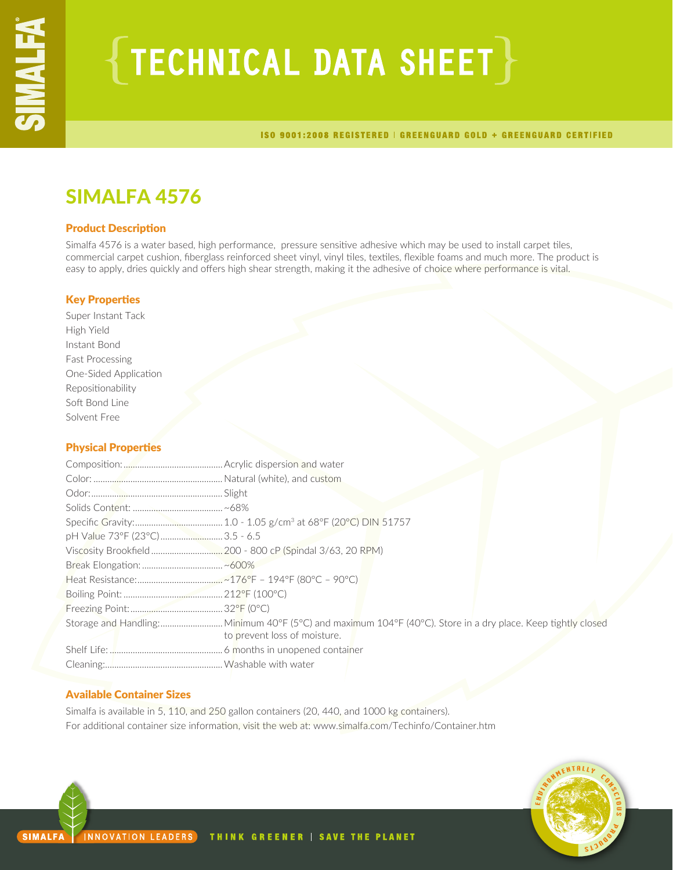# $\{$  TECHNICAL DATA SHEET  $\}$

ISO 9001:2008 REGISTERED | GREENGUARD GOLD + GREENGUARD CERTIFIED

# SIMALFA 4576

# Product Description

Simalfa 4576 is a water based, high performance, pressure sensitive adhesive which may be used to install carpet tiles, commercial carpet cushion, fiberglass reinforced sheet vinyl, vinyl tiles, textiles, flexible foams and much more. The product is easy to apply, dries quickly and offers high shear strength, making it the adhesive of choice where performance is vital.

# Key Properties

Super Instant Tack High Yield Instant Bond Fast Processing One-Sided Application Repositionability Soft Bond Line Solvent Free

# Physical Properties

| pH Value 73°F (23°C) 3.5 - 6.5 |                              |
|--------------------------------|------------------------------|
|                                |                              |
|                                |                              |
|                                |                              |
|                                |                              |
|                                |                              |
|                                |                              |
|                                | to prevent loss of moisture. |
|                                |                              |
|                                |                              |

# Available Container Sizes

Simalfa is available in 5, 110, and 250 gallon containers (20, 440, and 1000 kg containers). For additional container size information, visit the web at: www.simalfa.com/Techinfo/Container.htm

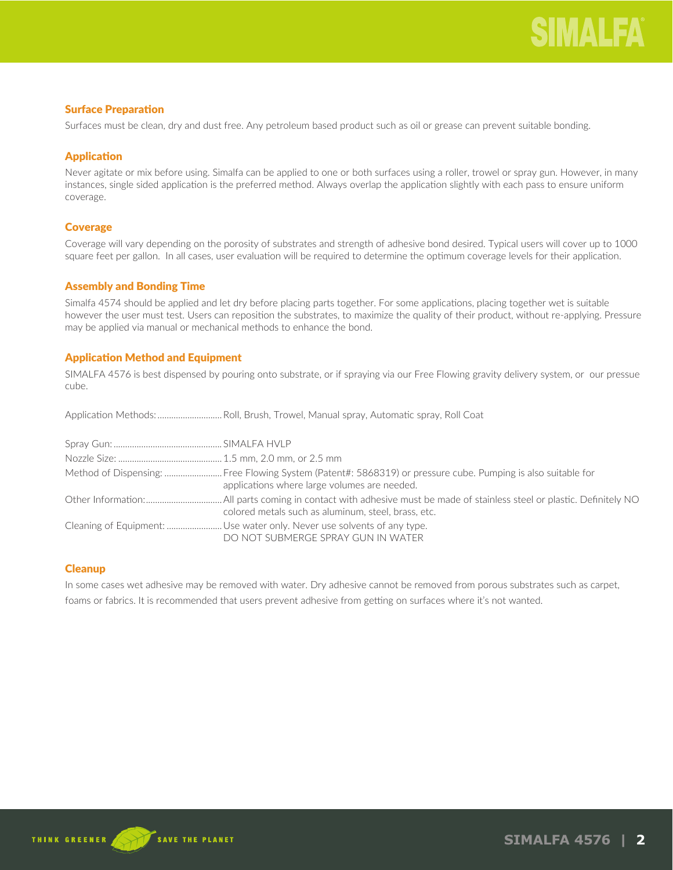# Surface Preparation

Surfaces must be clean, dry and dust free. Any petroleum based product such as oil or grease can prevent suitable bonding.

# Application

Never agitate or mix before using. Simalfa can be applied to one or both surfaces using a roller, trowel or spray gun. However, in many instances, single sided application is the preferred method. Always overlap the application slightly with each pass to ensure uniform coverage.

# **Coverage**

Coverage will vary depending on the porosity of substrates and strength of adhesive bond desired. Typical users will cover up to 1000 square feet per gallon. In all cases, user evaluation will be required to determine the optimum coverage levels for their application.

# Assembly and Bonding Time

Simalfa 4574 should be applied and let dry before placing parts together. For some applications, placing together wet is suitable however the user must test. Users can reposition the substrates, to maximize the quality of their product, without re-applying. Pressure may be applied via manual or mechanical methods to enhance the bond.

# Application Method and Equipment

SIMALFA 4576 is best dispensed by pouring onto substrate, or if spraying via our Free Flowing gravity delivery system, or our pressue cube.

|--|--|--|--|--|--|--|

| Method of Dispensing:  Free Flowing System (Patent#: 5868319) or pressure cube. Pumping is also suitable for<br>applications where large volumes are needed. |
|--------------------------------------------------------------------------------------------------------------------------------------------------------------|
| colored metals such as aluminum, steel, brass, etc.                                                                                                          |
| Cleaning of Equipment: Use water only. Never use solvents of any type.<br>DO NOT SUBMERGE SPRAY GUN IN WATER                                                 |

# **Cleanup**

In some cases wet adhesive may be removed with water. Dry adhesive cannot be removed from porous substrates such as carpet, foams or fabrics. It is recommended that users prevent adhesive from getting on surfaces where it's not wanted.

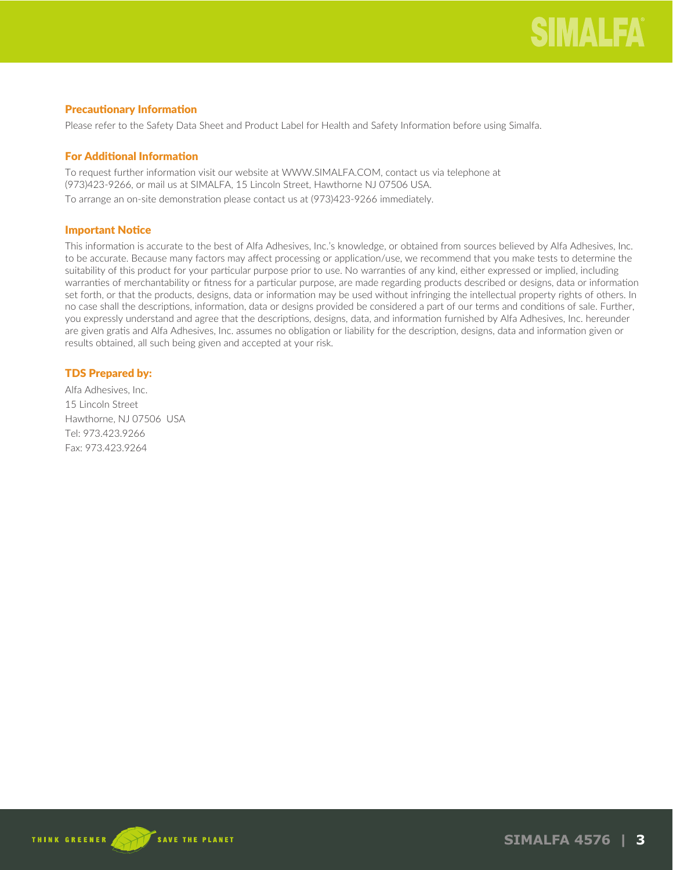# Precautionary Information

Please refer to the Safety Data Sheet and Product Label for Health and Safety Information before using Simalfa.

# For Additional Information

To request further information visit our website at WWW.SIMALFA.COM, contact us via telephone at (973)423-9266, or mail us at SIMALFA, 15 Lincoln Street, Hawthorne NJ 07506 USA. To arrange an on-site demonstration please contact us at (973)423-9266 immediately.

# Important Notice

This information is accurate to the best of Alfa Adhesives, Inc.'s knowledge, or obtained from sources believed by Alfa Adhesives, Inc. to be accurate. Because many factors may affect processing or application/use, we recommend that you make tests to determine the suitability of this product for your particular purpose prior to use. No warranties of any kind, either expressed or implied, including warranties of merchantability or fitness for a particular purpose, are made regarding products described or designs, data or information set forth, or that the products, designs, data or information may be used without infringing the intellectual property rights of others. In no case shall the descriptions, information, data or designs provided be considered a part of our terms and conditions of sale. Further, you expressly understand and agree that the descriptions, designs, data, and information furnished by Alfa Adhesives, Inc. hereunder are given gratis and Alfa Adhesives, Inc. assumes no obligation or liability for the description, designs, data and information given or results obtained, all such being given and accepted at your risk.

# TDS Prepared by:

Alfa Adhesives, Inc. 15 Lincoln Street Hawthorne, NJ 07506 USA Tel: 973.423.9266 Fax: 973.423.9264

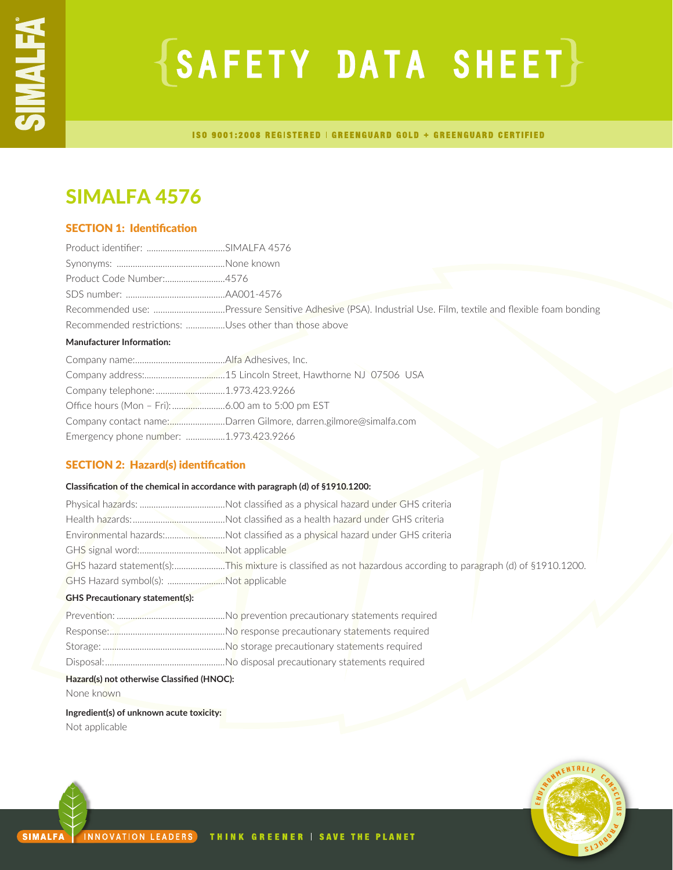# $\{SAFFITY$  DATA SHEET $\}$

ISO 9001:2008 REGISTERED | GREENGUARD GOLD + GREENGUARD CERTIFIED

# SIMALFA 4576

# SECTION 1: Identification

| Product Code Number:4576                              |                                                                 |
|-------------------------------------------------------|-----------------------------------------------------------------|
|                                                       |                                                                 |
|                                                       |                                                                 |
| Recommended restrictions: Uses other than those above |                                                                 |
| <b>Manufacturer Information:</b>                      |                                                                 |
|                                                       |                                                                 |
|                                                       |                                                                 |
| Company telephone: 1.973.423.9266                     |                                                                 |
|                                                       |                                                                 |
|                                                       | Company contact name:Darren Gilmore, darren.gilmore@simalfa.com |
| Emergency phone number: 1.973.423.9266                |                                                                 |

# SECTION 2: Hazard(s) identification

# **Classification of the chemical in accordance with paragraph (d) of §1910.1200:**

|                                      | Environmental hazards:Not classified as a physical hazard under GHS criteria                                  |
|--------------------------------------|---------------------------------------------------------------------------------------------------------------|
|                                      |                                                                                                               |
|                                      | GHS hazard statement(s):This mixture is classified as not hazardous according to paragraph (d) of §1910.1200. |
| GHS Hazard symbol(s): Not applicable |                                                                                                               |
|                                      |                                                                                                               |

# **GHS Precautionary statement(s):**

# **Hazard(s) not otherwise Classified (HNOC):**

None known

# **Ingredient(s) of unknown acute toxicity:** Not applicable

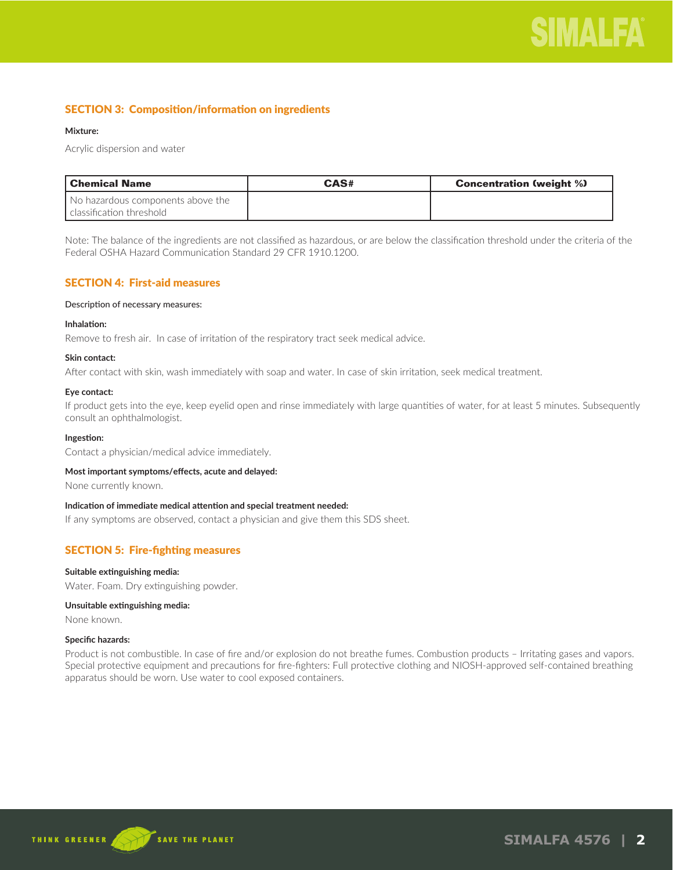

# SECTION 3: Composition/information on ingredients

### **Mixture:**

Acrylic dispersion and water

| l Chemical Name                                               | CAS# | <b>Concentration (weight %)</b> |
|---------------------------------------------------------------|------|---------------------------------|
| No hazardous components above the<br>classification threshold |      |                                 |

Note: The balance of the ingredients are not classified as hazardous, or are below the classification threshold under the criteria of the Federal OSHA Hazard Communication Standard 29 CFR 1910.1200.

# SECTION 4: First-aid measures

#### Description of necessary measures:

#### **Inhalation:**

Remove to fresh air. In case of irritation of the respiratory tract seek medical advice.

#### **Skin contact:**

After contact with skin, wash immediately with soap and water. In case of skin irritation, seek medical treatment.

#### **Eye contact:**

If product gets into the eye, keep eyelid open and rinse immediately with large quantities of water, for at least 5 minutes. Subsequently consult an ophthalmologist.

#### **Ingestion:**

Contact a physician/medical advice immediately.

#### **Most important symptoms/effects, acute and delayed:**

None currently known.

#### **Indication of immediate medical attention and special treatment needed:**

If any symptoms are observed, contact a physician and give them this SDS sheet.

# SECTION 5: Fire-fighting measures

#### **Suitable extinguishing media:**

Water. Foam. Dry extinguishing powder.

#### **Unsuitable extinguishing media:**

None known.

# **Specific hazards:**

Product is not combustible. In case of fire and/or explosion do not breathe fumes. Combustion products – Irritating gases and vapors. Special protective equipment and precautions for fire-fighters: Full protective clothing and NIOSH-approved self-contained breathing apparatus should be worn. Use water to cool exposed containers.

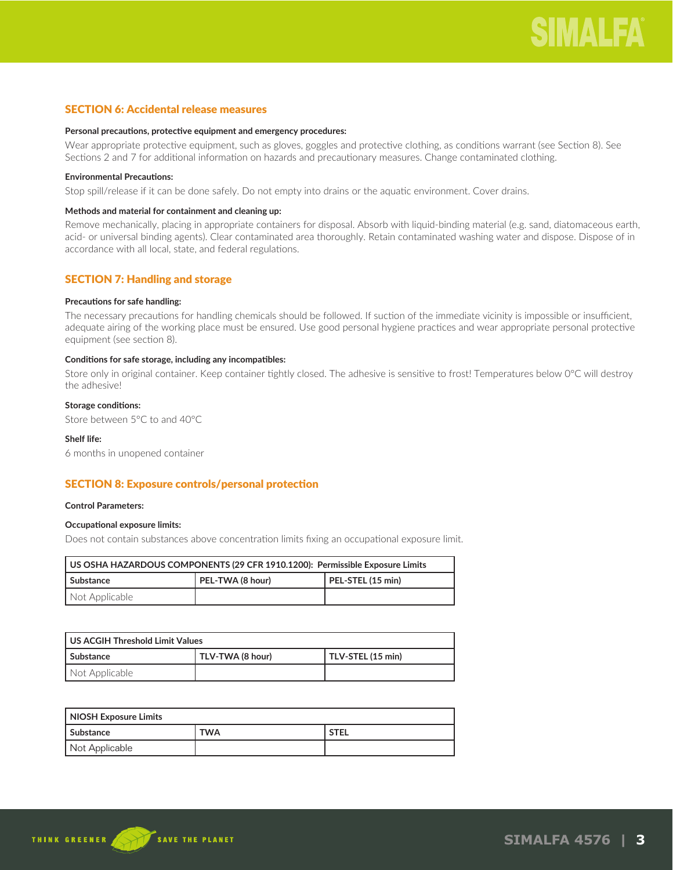# SECTION 6: Accidental release measures

### **Personal precautions, protective equipment and emergency procedures:**

Wear appropriate protective equipment, such as gloves, goggles and protective clothing, as conditions warrant (see Section 8). See Sections 2 and 7 for additional information on hazards and precautionary measures. Change contaminated clothing.

### **Environmental Precautions:**

Stop spill/release if it can be done safely. Do not empty into drains or the aquatic environment. Cover drains.

### **Methods and material for containment and cleaning up:**

Remove mechanically, placing in appropriate containers for disposal. Absorb with liquid-binding material (e.g. sand, diatomaceous earth, acid- or universal binding agents). Clear contaminated area thoroughly. Retain contaminated washing water and dispose. Dispose of in accordance with all local, state, and federal regulations.

# SECTION 7: Handling and storage

# **Precautions for safe handling:**

The necessary precautions for handling chemicals should be followed. If suction of the immediate vicinity is impossible or insufficient, adequate airing of the working place must be ensured. Use good personal hygiene practices and wear appropriate personal protective equipment (see section 8).

#### **Conditions for safe storage, including any incompatibles:**

Store only in original container. Keep container tightly closed. The adhesive is sensitive to frost! Temperatures below 0°C will destroy the adhesive!

# **Storage conditions:**

Store between 5°C to and 40°C

# **Shelf life:**

6 months in unopened container

# SECTION 8: Exposure controls/personal protection

#### **Control Parameters:**

# **Occupational exposure limits:**

Does not contain substances above concentration limits fixing an occupational exposure limit.

| US OSHA HAZARDOUS COMPONENTS (29 CFR 1910.1200): Permissible Exposure Limits |                                       |  |  |
|------------------------------------------------------------------------------|---------------------------------------|--|--|
| l Substance                                                                  | PEL-TWA (8 hour)<br>PEL-STEL (15 min) |  |  |
| Not Applicable                                                               |                                       |  |  |

| US ACGIH Threshold Limit Values |                  |                   |  |
|---------------------------------|------------------|-------------------|--|
| l Substance                     | TLV-TWA (8 hour) | TLV-STEL (15 min) |  |
| Not Applicable                  |                  |                   |  |

| NIOSH Exposure Limits |     |             |
|-----------------------|-----|-------------|
| Substance             | TWA | <b>STEL</b> |
| Not Applicable        |     |             |

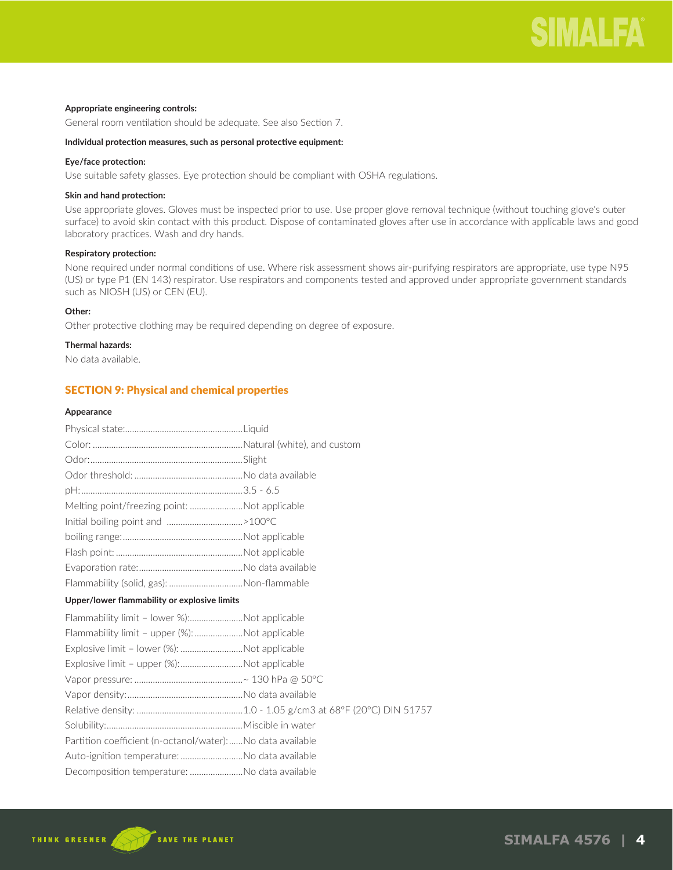# **Appropriate engineering controls:**

General room ventilation should be adequate. See also Section 7.

# **Individual protection measures, such as personal protective equipment:**

# **Eye/face protection:**

Use suitable safety glasses. Eye protection should be compliant with OSHA regulations.

# **Skin and hand protection:**

Use appropriate gloves. Gloves must be inspected prior to use. Use proper glove removal technique (without touching glove's outer surface) to avoid skin contact with this product. Dispose of contaminated gloves after use in accordance with applicable laws and good laboratory practices. Wash and dry hands.

# **Respiratory protection:**

None required under normal conditions of use. Where risk assessment shows air-purifying respirators are appropriate, use type N95 (US) or type P1 (EN 143) respirator. Use respirators and components tested and approved under appropriate government standards such as NIOSH (US) or CEN (EU).

# **Other:**

Other protective clothing may be required depending on degree of exposure.

# **Thermal hazards:**

No data available.

# SECTION 9: Physical and chemical properties

#### **Appearance**

| Melting point/freezing point: Not applicable              |  |
|-----------------------------------------------------------|--|
| lnitial boiling point and >100°C                          |  |
|                                                           |  |
|                                                           |  |
|                                                           |  |
| Flammability (solid, gas): Non-flammable                  |  |
| Upper/lower flammability or explosive limits              |  |
| Flammability limit - lower %):Not applicable              |  |
| Flammability limit - upper (%): Not applicable            |  |
| Explosive limit - lower (%): Not applicable               |  |
| Explosive limit - upper (%):Not applicable                |  |
|                                                           |  |
|                                                           |  |
|                                                           |  |
|                                                           |  |
| Partition coefficient (n-octanol/water):No data available |  |
| Auto-ignition temperature: No data available              |  |
| Decomposition temperature: No data available              |  |

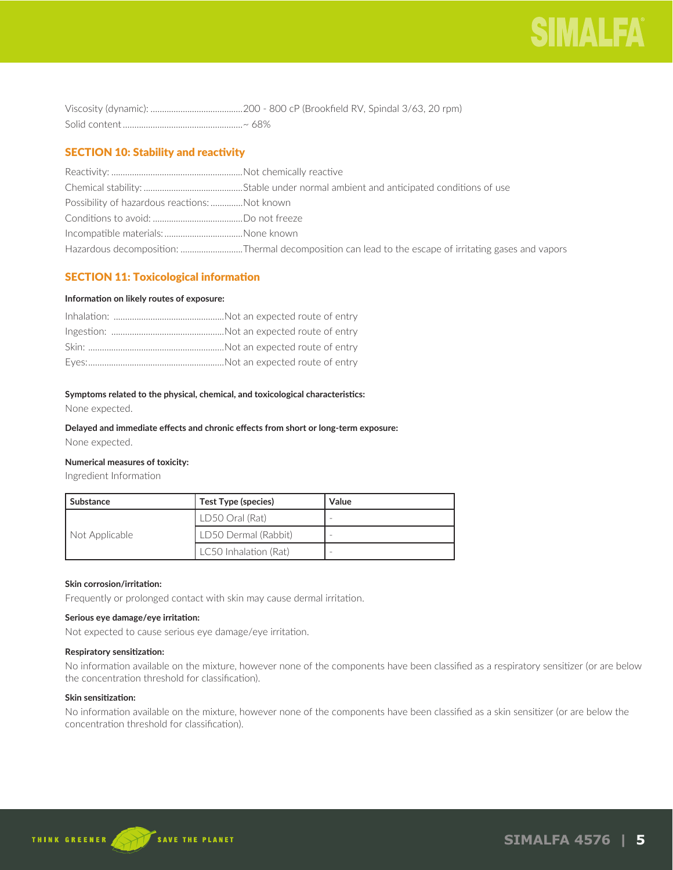

# SECTION 10: Stability and reactivity

| Possibility of hazardous reactions: Not known |                                                                                                      |
|-----------------------------------------------|------------------------------------------------------------------------------------------------------|
|                                               |                                                                                                      |
| Incompatible materials:None known             |                                                                                                      |
|                                               | Hazardous decomposition: Thermal decomposition can lead to the escape of irritating gases and vapors |

# SECTION 11: Toxicological information

# **Information on likely routes of exposure:**

# **Symptoms related to the physical, chemical, and toxicological characteristics:**

None expected.

# **Delayed and immediate effects and chronic effects from short or long-term exposure:**

None expected.

# **Numerical measures of toxicity:**

Ingredient Information

| Substance      | Test Type (species)   | Value |
|----------------|-----------------------|-------|
| Not Applicable | LD50 Oral (Rat)       |       |
|                | LD50 Dermal (Rabbit)  |       |
|                | LC50 Inhalation (Rat) |       |

### **Skin corrosion/irritation:**

Frequently or prolonged contact with skin may cause dermal irritation.

# **Serious eye damage/eye irritation:**

Not expected to cause serious eye damage/eye irritation.

### **Respiratory sensitization:**

No information available on the mixture, however none of the components have been classified as a respiratory sensitizer (or are below the concentration threshold for classification).

# **Skin sensitization:**

No information available on the mixture, however none of the components have been classified as a skin sensitizer (or are below the concentration threshold for classification).

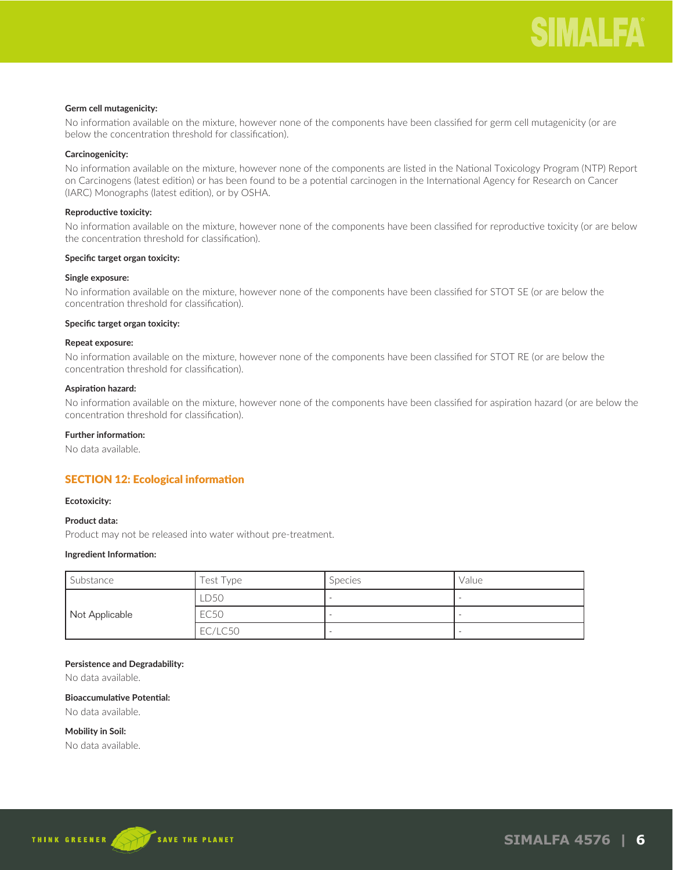# **Germ cell mutagenicity:**

No information available on the mixture, however none of the components have been classified for germ cell mutagenicity (or are below the concentration threshold for classification).

### **Carcinogenicity:**

No information available on the mixture, however none of the components are listed in the National Toxicology Program (NTP) Report on Carcinogens (latest edition) or has been found to be a potential carcinogen in the International Agency for Research on Cancer (IARC) Monographs (latest edition), or by OSHA.

#### **Reproductive toxicity:**

No information available on the mixture, however none of the components have been classified for reproductive toxicity (or are below the concentration threshold for classification).

#### **Specific target organ toxicity:**

#### **Single exposure:**

No information available on the mixture, however none of the components have been classified for STOT SE (or are below the concentration threshold for classification).

#### **Specific target organ toxicity:**

# **Repeat exposure:**

No information available on the mixture, however none of the components have been classified for STOT RE (or are below the concentration threshold for classification).

#### **Aspiration hazard:**

No information available on the mixture, however none of the components have been classified for aspiration hazard (or are below the concentration threshold for classification).

# **Further information:**

No data available.

# SECTION 12: Ecological information

#### **Ecotoxicity:**

# **Product data:**

Product may not be released into water without pre-treatment.

### **Ingredient Information:**

| Substance      | Test Type | <b>Species</b> | Value |
|----------------|-----------|----------------|-------|
|                | LD50      |                |       |
| Not Applicable | EC50      |                |       |
|                | EC/LC50   |                |       |

# **Persistence and Degradability:**

No data available.

# **Bioaccumulative Potential:**

No data available.

**Mobility in Soil:**

No data available.

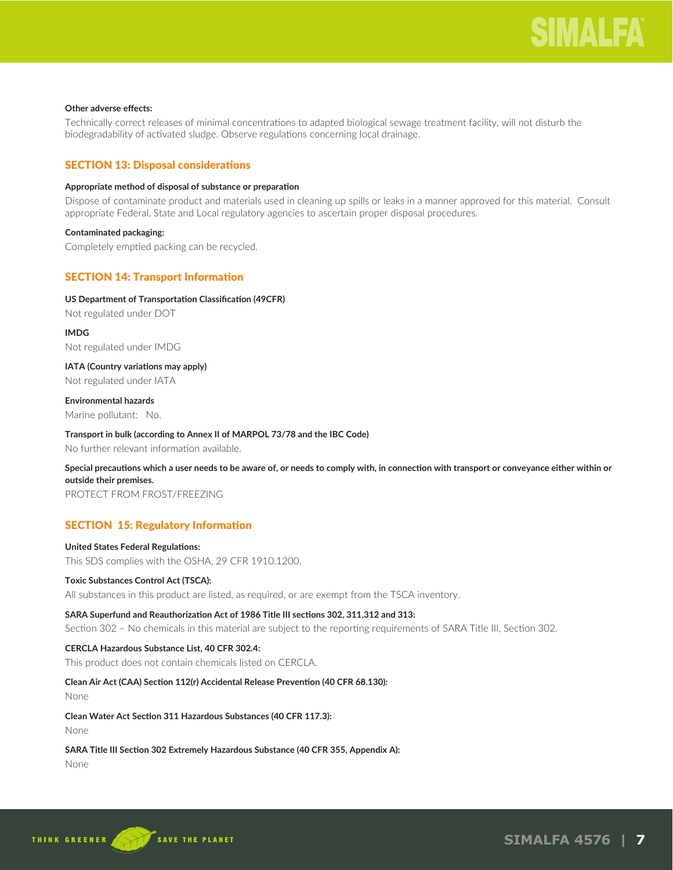# **Other adverse effects:**

Technically correct releases of minimal concentrations to adapted biological sewage treatment facility, will not disturb the biodegradability of activated sludge. Observe regulations concerning local drainage.

# SECTION 13: Disposal considerations

### **Appropriate method of disposal of substance or preparation**

Dispose of contaminate product and materials used in cleaning up spills or leaks in a manner approved for this material. Consult appropriate Federal, State and Local regulatory agencies to ascertain proper disposal procedures.

# **Contaminated packaging:**

Completely emptied packing can be recycled.

# SECTION 14: Transport Information

# **US Department of Transportation Classification (49CFR)**

Not regulated under DOT

**IMDG** Not regulated under IMDG

**IATA (Country variations may apply)** Not regulated under IATA

# **Environmental hazards**

Marine pollutant: No.

# **Transport in bulk (according to Annex II of MARPOL 73/78 and the IBC Code)**

No further relevant information available.

# **Special precautions which a user needs to be aware of, or needs to comply with, in connection with transport or conveyance either within or outside their premises.**

PROTECT FROM FROST/FREEZING

# SECTION 15: Regulatory Information

# **United States Federal Regulations:**

This SDS complies with the OSHA, 29 CFR 1910.1200.

# **Toxic Substances Control Act (TSCA):**

All substances in this product are listed, as required, or are exempt from the TSCA inventory.

# **SARA Superfund and Reauthorization Act of 1986 Title III sections 302, 311,312 and 313:**

Section 302 – No chemicals in this material are subject to the reporting requirements of SARA Title III, Section 302.

# **CERCLA Hazardous Substance List, 40 CFR 302.4:**

This product does not contain chemicals listed on CERCLA.

# **Clean Air Act (CAA) Section 112(r) Accidental Release Prevention (40 CFR 68.130):**

None

# **Clean Water Act Section 311 Hazardous Substances (40 CFR 117.3):**

None

# **SARA Title III Section 302 Extremely Hazardous Substance (40 CFR 355, Appendix A):**

None

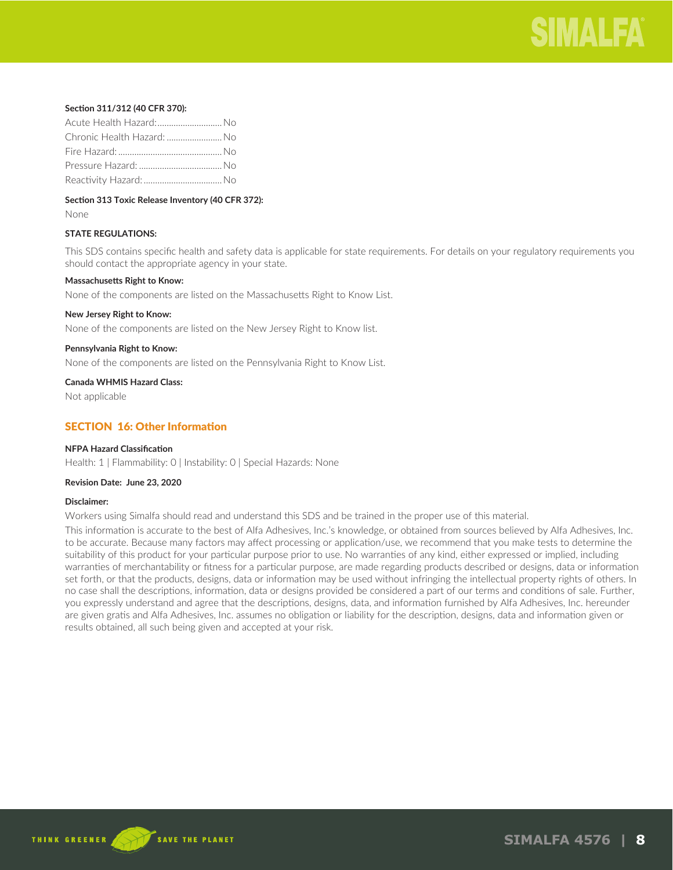

### **Section 311/312 (40 CFR 370):**

| Acute Health Hazard:No     |  |
|----------------------------|--|
| Chronic Health Hazard:  No |  |
|                            |  |
|                            |  |
|                            |  |

# **Section 313 Toxic Release Inventory (40 CFR 372):**

None

# **STATE REGULATIONS:**

This SDS contains specific health and safety data is applicable for state requirements. For details on your regulatory requirements you should contact the appropriate agency in your state.

#### **Massachusetts Right to Know:**

None of the components are listed on the Massachusetts Right to Know List.

#### **New Jersey Right to Know:**

None of the components are listed on the New Jersey Right to Know list.

#### **Pennsylvania Right to Know:**

None of the components are listed on the Pennsylvania Right to Know List.

#### **Canada WHMIS Hazard Class:**

Not applicable

# SECTION 16: Other Information

# **NFPA Hazard Classification**

Health: 1 | Flammability: 0 | Instability: 0 | Special Hazards: None

#### **Revision Date: June 23, 2020**

### **Disclaimer:**

Workers using Simalfa should read and understand this SDS and be trained in the proper use of this material.

This information is accurate to the best of Alfa Adhesives, Inc.'s knowledge, or obtained from sources believed by Alfa Adhesives, Inc. to be accurate. Because many factors may affect processing or application/use, we recommend that you make tests to determine the suitability of this product for your particular purpose prior to use. No warranties of any kind, either expressed or implied, including warranties of merchantability or fitness for a particular purpose, are made regarding products described or designs, data or information set forth, or that the products, designs, data or information may be used without infringing the intellectual property rights of others. In no case shall the descriptions, information, data or designs provided be considered a part of our terms and conditions of sale. Further, you expressly understand and agree that the descriptions, designs, data, and information furnished by Alfa Adhesives, Inc. hereunder are given gratis and Alfa Adhesives, Inc. assumes no obligation or liability for the description, designs, data and information given or results obtained, all such being given and accepted at your risk.

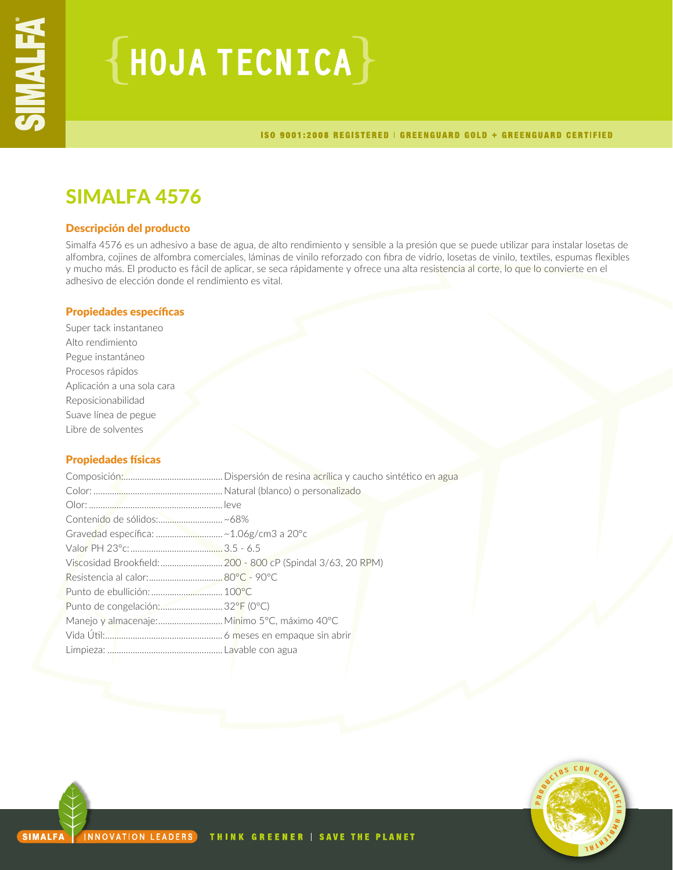# ${HoudATECNICA}$

ISO 9001:2008 REGISTERED | GREENGUARD GOLD + GREENGUARD CERTIFIED

# SIMALFA 4576

# Descripción del producto

Simalfa 4576 es un adhesivo a base de agua, de alto rendimiento y sensible a la presión que se puede utilizar para instalar losetas de alfombra, cojines de alfombra comerciales, láminas de vinilo reforzado con fibra de vidrio, losetas de vinilo, textiles, espumas flexibles y mucho más. El producto es fácil de aplicar, se seca rápidamente y ofrece una alta resistencia al corte, lo que lo convierte en el adhesivo de elección donde el rendimiento es vital.

# Propiedades específicas

Super tack instantaneo Alto rendimiento Pegue instantáneo Procesos rápidos Aplicación a una sola cara Reposicionabilidad Suave línea de pegue Libre de solventes

# Propiedades físicas

| Contenido de sólidos:~68%                    |                                                             |
|----------------------------------------------|-------------------------------------------------------------|
| Gravedad específica: ~ 1.06g/cm3 a 20°c      |                                                             |
|                                              |                                                             |
|                                              | Viscosidad Brookfield:  200 - 800 cP (Spindal 3/63, 20 RPM) |
|                                              |                                                             |
|                                              |                                                             |
| Punto de congelación:  32°F (0°C)            |                                                             |
| Manejo y almacenaje: Mínimo 5°C, máximo 40°C |                                                             |
|                                              |                                                             |
|                                              |                                                             |
|                                              |                                                             |

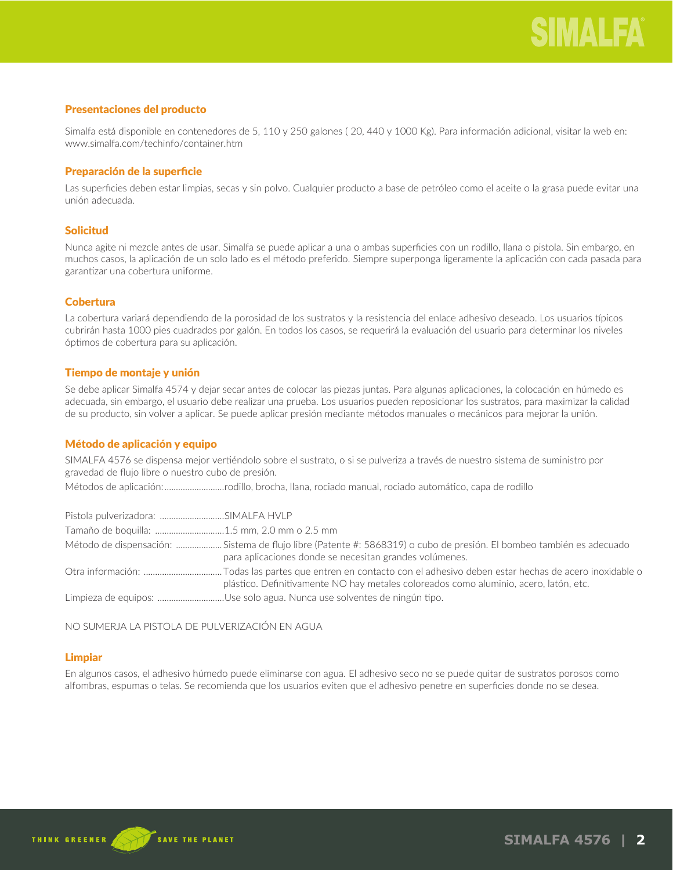# Presentaciones del producto

Simalfa está disponible en contenedores de 5, 110 y 250 galones ( 20, 440 y 1000 Kg). Para información adicional, visitar la web en: www.simalfa.com/techinfo/container.htm

# Preparación de la superficie

Las superficies deben estar limpias, secas y sin polvo. Cualquier producto a base de petróleo como el aceite o la grasa puede evitar una unión adecuada.

# Solicitud

Nunca agite ni mezcle antes de usar. Simalfa se puede aplicar a una o ambas superficies con un rodillo, llana o pistola. Sin embargo, en muchos casos, la aplicación de un solo lado es el método preferido. Siempre superponga ligeramente la aplicación con cada pasada para garantizar una cobertura uniforme.

# **Cobertura**

La cobertura variará dependiendo de la porosidad de los sustratos y la resistencia del enlace adhesivo deseado. Los usuarios típicos cubrirán hasta 1000 pies cuadrados por galón. En todos los casos, se requerirá la evaluación del usuario para determinar los niveles óptimos de cobertura para su aplicación.

# Tiempo de montaje y unión

Se debe aplicar Simalfa 4574 y dejar secar antes de colocar las piezas juntas. Para algunas aplicaciones, la colocación en húmedo es adecuada, sin embargo, el usuario debe realizar una prueba. Los usuarios pueden reposicionar los sustratos, para maximizar la calidad de su producto, sin volver a aplicar. Se puede aplicar presión mediante métodos manuales o mecánicos para mejorar la unión.

# Método de aplicación y equipo

SIMALFA 4576 se dispensa mejor vertiéndolo sobre el sustrato, o si se pulveriza a través de nuestro sistema de suministro por gravedad de flujo libre o nuestro cubo de presión.

Métodos de aplicación:..........................rodillo, brocha, llana, rociado manual, rociado automático, capa de rodillo

| Pistola pulverizadora: SIMALFA HVLP         |                                                                                                                                                                                 |
|---------------------------------------------|---------------------------------------------------------------------------------------------------------------------------------------------------------------------------------|
| Tamaño de boquilla: 1.5 mm, 2.0 mm o 2.5 mm |                                                                                                                                                                                 |
|                                             | Método de dispensación: Sistema de flujo libre (Patente #: 5868319) o cubo de presión. El bombeo también es adecuado<br>para aplicaciones donde se necesitan grandes volúmenes. |
|                                             | plástico. Definitivamente NO hay metales coloreados como aluminio, acero, latón, etc.                                                                                           |
|                                             | Limpieza de equipos: Use solo agua. Nunca use solventes de ningún tipo.                                                                                                         |

NO SUMERJA LA PISTOLA DE PULVERIZACIÓN EN AGUA

# Limpiar

En algunos casos, el adhesivo húmedo puede eliminarse con agua. El adhesivo seco no se puede quitar de sustratos porosos como alfombras, espumas o telas. Se recomienda que los usuarios eviten que el adhesivo penetre en superficies donde no se desea.

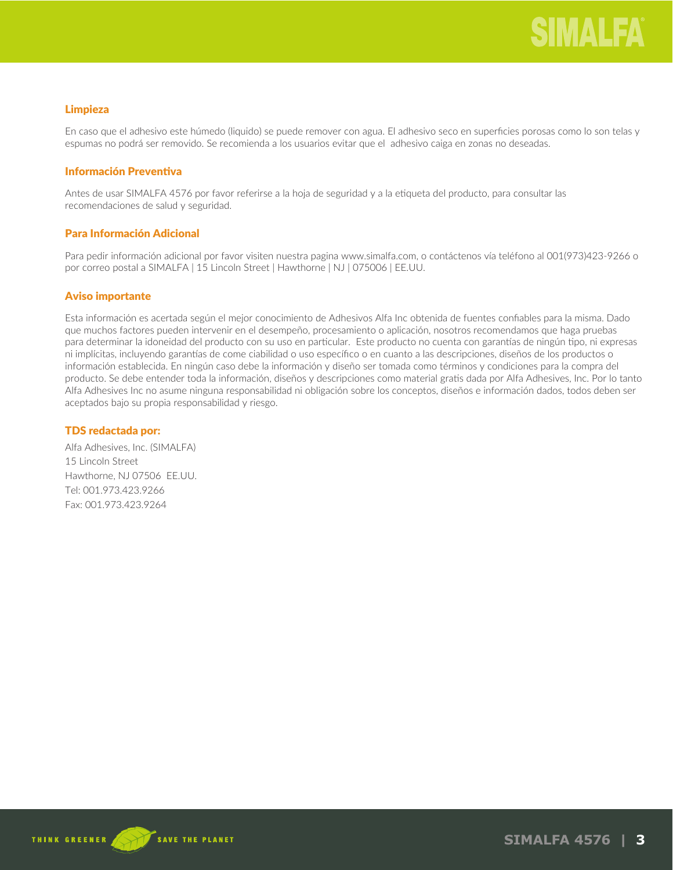# Limpieza

En caso que el adhesivo este húmedo (liquido) se puede remover con agua. El adhesivo seco en superficies porosas como lo son telas y espumas no podrá ser removido. Se recomienda a los usuarios evitar que el adhesivo caiga en zonas no deseadas.

# Información Preventiva

Antes de usar SIMALFA 4576 por favor referirse a la hoja de seguridad y a la etiqueta del producto, para consultar las recomendaciones de salud y seguridad.

# Para Información Adicional

Para pedir información adicional por favor visiten nuestra pagina www.simalfa.com, o contáctenos vía teléfono al 001(973)423-9266 o por correo postal a SIMALFA | 15 Lincoln Street | Hawthorne | NJ | 075006 | EE.UU.

# Aviso importante

Esta información es acertada según el mejor conocimiento de Adhesivos Alfa Inc obtenida de fuentes confiables para la misma. Dado que muchos factores pueden intervenir en el desempeño, procesamiento o aplicación, nosotros recomendamos que haga pruebas para determinar la idoneidad del producto con su uso en particular. Este producto no cuenta con garantías de ningún tipo, ni expresas ni implícitas, incluyendo garantías de come ciabilidad o uso específico o en cuanto a las descripciones, diseños de los productos o información establecida. En ningún caso debe la información y diseño ser tomada como términos y condiciones para la compra del producto. Se debe entender toda la información, diseños y descripciones como material gratis dada por Alfa Adhesives, Inc. Por lo tanto Alfa Adhesives Inc no asume ninguna responsabilidad ni obligación sobre los conceptos, diseños e información dados, todos deben ser aceptados bajo su propia responsabilidad y riesgo.

# TDS redactada por:

Alfa Adhesives, Inc. (SIMALFA) 15 Lincoln Street Hawthorne, NJ 07506 EE.UU. Tel: 001.973.423.9266 Fax: 001.973.423.9264

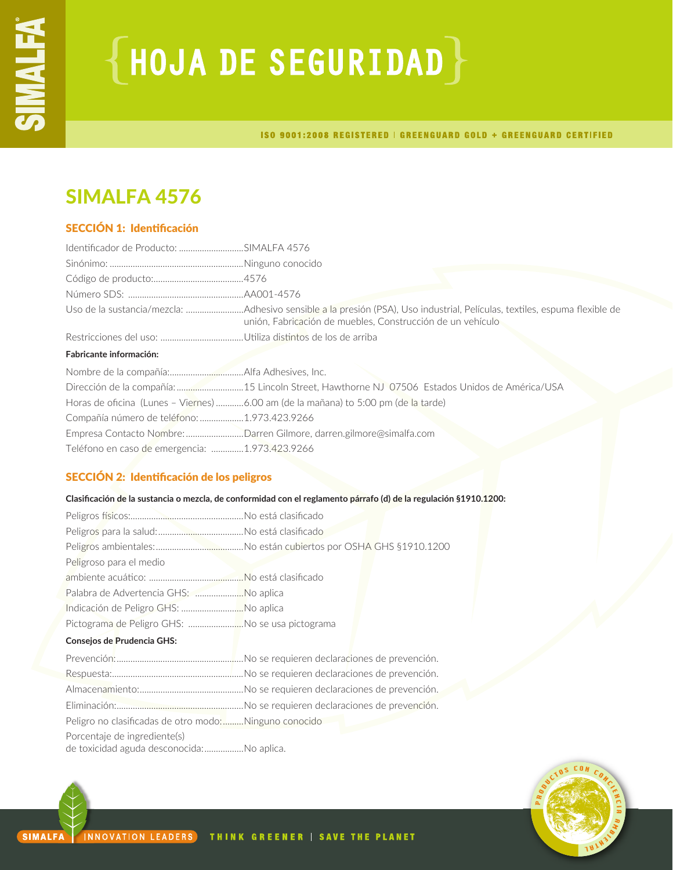# **{HOJA DE SEGURIDAD}**

ISO 9001:2008 REGISTERED | GREENGUARD GOLD + GREENGUARD CERTIFIED

# SIMALFA 4576

# SECCIÓN 1: Identificación

| Identificador de Producto: SIMALFA 4576        |                                                                                                                                                                                         |
|------------------------------------------------|-----------------------------------------------------------------------------------------------------------------------------------------------------------------------------------------|
|                                                |                                                                                                                                                                                         |
|                                                |                                                                                                                                                                                         |
|                                                |                                                                                                                                                                                         |
|                                                | Uso de la sustancia/mezcla: Adhesivo sensible a la presión (PSA), Uso industrial, Películas, textiles, espuma flexible de<br>unión, Fabricación de muebles, Construcción de un vehículo |
|                                                |                                                                                                                                                                                         |
| <b>Fabricante información:</b>                 |                                                                                                                                                                                         |
|                                                |                                                                                                                                                                                         |
|                                                |                                                                                                                                                                                         |
|                                                | Horas de oficina (Lunes - Viernes) 6.00 am (de la mañana) to 5:00 pm (de la tarde)                                                                                                      |
| Compañía número de teléfono: 1.973.423.9266    |                                                                                                                                                                                         |
|                                                | Empresa Contacto Nombre: Darren Gilmore, darren.gilmore@simalfa.com                                                                                                                     |
| Teléfono en caso de emergencia: 1.973.423.9266 |                                                                                                                                                                                         |

# SECCIÓN 2: Identificación de los peligros

# **Clasificación de la sustancia o mezcla, de conformidad con el reglamento párrafo (d) de la regulación §1910.1200:**

| Peligroso para el medio                               |  |
|-------------------------------------------------------|--|
|                                                       |  |
| Palabra de Advertencia GHS: No aplica                 |  |
| Indicación de Peligro GHS: No aplica                  |  |
| Pictograma de Peligro GHS: No se usa pictograma       |  |
| Consejos de Prudencia GHS:                            |  |
|                                                       |  |
|                                                       |  |
|                                                       |  |
|                                                       |  |
| Peligro no clasificadas de otro modo:Ninguno conocido |  |
| Porcentaje de ingrediente(s)                          |  |
| de toxicidad aguda desconocida:No aplica.             |  |

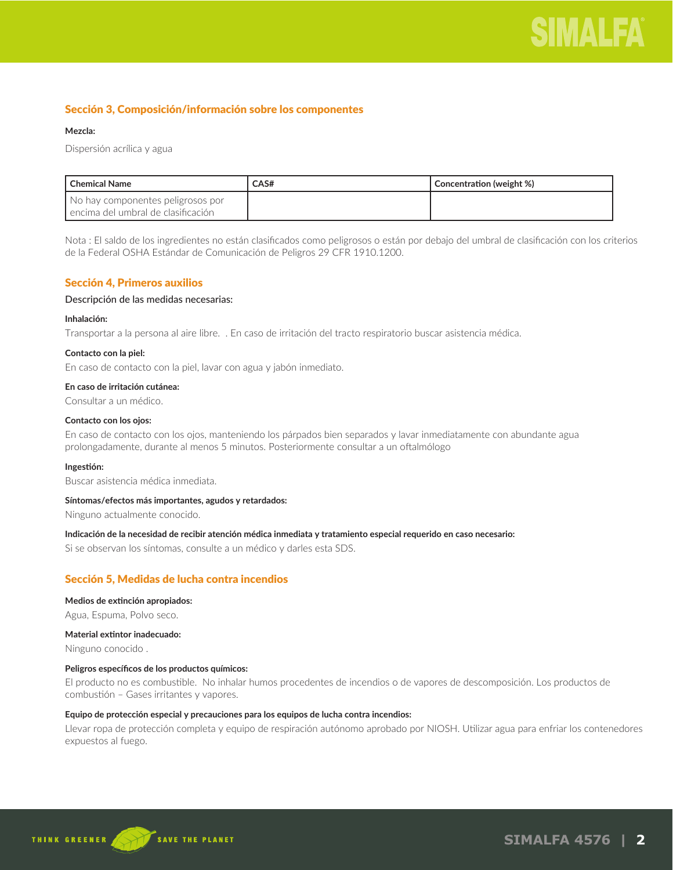# Sección 3, Composición/información sobre los componentes

# **Mezcla:**

Dispersión acrílica y agua

| l Chemical Name                                                           | CAS# | Concentration (weight %) |
|---------------------------------------------------------------------------|------|--------------------------|
| No hay componentes peligrosos por<br>l encima del umbral de clasificación |      |                          |

Nota : El saldo de los ingredientes no están clasificados como peligrosos o están por debajo del umbral de clasificación con los criterios de la Federal OSHA Estándar de Comunicación de Peligros 29 CFR 1910.1200.

# Sección 4, Primeros auxilios

# Descripción de las medidas necesarias:

# **Inhalación:**

Transportar a la persona al aire libre. . En caso de irritación del tracto respiratorio buscar asistencia médica.

# **Contacto con la piel:**

En caso de contacto con la piel, lavar con agua y jabón inmediato.

# **En caso de irritación cutánea:**

Consultar a un médico.

# **Contacto con los ojos:**

En caso de contacto con los ojos, manteniendo los párpados bien separados y lavar inmediatamente con abundante agua prolongadamente, durante al menos 5 minutos. Posteriormente consultar a un oftalmólogo

# **Ingestión:**

Buscar asistencia médica inmediata.

# **Síntomas/efectos más importantes, agudos y retardados:**

Ninguno actualmente conocido.

# **Indicación de la necesidad de recibir atención médica inmediata y tratamiento especial requerido en caso necesario:**

Si se observan los síntomas, consulte a un médico y darles esta SDS.

# Sección 5, Medidas de lucha contra incendios

# **Medios de extinción apropiados:**

Agua, Espuma, Polvo seco.

# **Material extintor inadecuado:**

Ninguno conocido .

# **Peligros específicos de los productos químicos:**

El producto no es combustible. No inhalar humos procedentes de incendios o de vapores de descomposición. Los productos de combustión – Gases irritantes y vapores.

# **Equipo de protección especial y precauciones para los equipos de lucha contra incendios:**

Llevar ropa de protección completa y equipo de respiración autónomo aprobado por NIOSH. Utilizar agua para enfriar los contenedores expuestos al fuego.

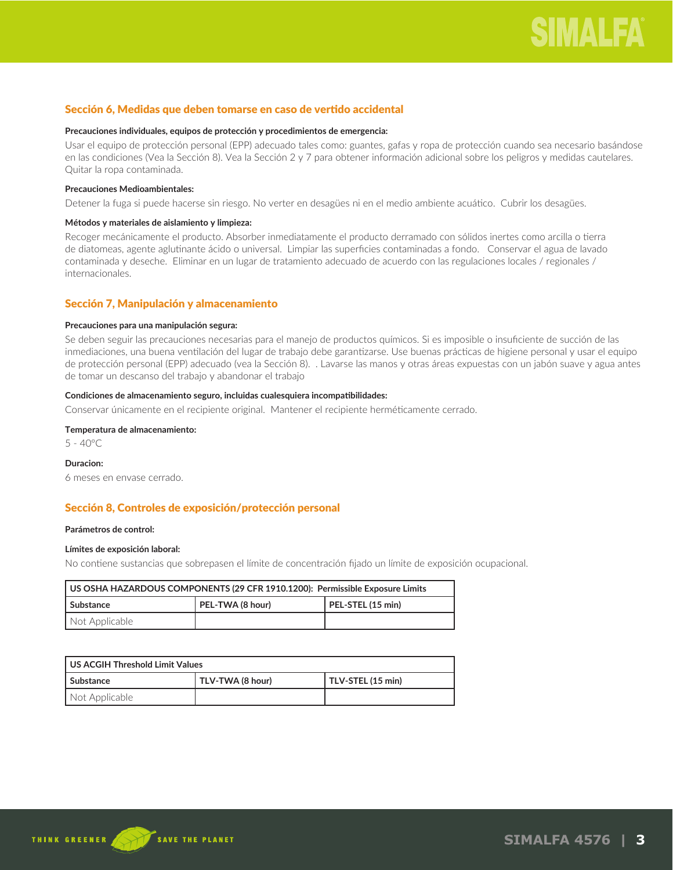# Sección 6, Medidas que deben tomarse en caso de vertido accidental

## **Precauciones individuales, equipos de protección y procedimientos de emergencia:**

Usar el equipo de protección personal (EPP) adecuado tales como: guantes, gafas y ropa de protección cuando sea necesario basándose en las condiciones (Vea la Sección 8). Vea la Sección 2 y 7 para obtener información adicional sobre los peligros y medidas cautelares. Quitar la ropa contaminada.

### **Precauciones Medioambientales:**

Detener la fuga si puede hacerse sin riesgo. No verter en desagües ni en el medio ambiente acuático. Cubrir los desagües.

#### **Métodos y materiales de aislamiento y limpieza:**

Recoger mecánicamente el producto. Absorber inmediatamente el producto derramado con sólidos inertes como arcilla o tierra de diatomeas, agente aglutinante ácido o universal. Limpiar las superficies contaminadas a fondo. Conservar el agua de lavado contaminada y deseche. Eliminar en un lugar de tratamiento adecuado de acuerdo con las regulaciones locales / regionales / internacionales.

# Sección 7, Manipulación y almacenamiento

#### **Precauciones para una manipulación segura:**

Se deben seguir las precauciones necesarias para el manejo de productos químicos. Si es imposible o insuficiente de succión de las inmediaciones, una buena ventilación del lugar de trabajo debe garantizarse. Use buenas prácticas de higiene personal y usar el equipo de protección personal (EPP) adecuado (vea la Sección 8). . Lavarse las manos y otras áreas expuestas con un jabón suave y agua antes de tomar un descanso del trabajo y abandonar el trabajo

#### **Condiciones de almacenamiento seguro, incluidas cualesquiera incompatibilidades:**

Conservar únicamente en el recipiente original. Mantener el recipiente herméticamente cerrado.

# **Temperatura de almacenamiento:**

 $5 - 40^{\circ}$ C

#### **Duracion:**

6 meses en envase cerrado.

# Sección 8, Controles de exposición/protección personal

# **Parámetros de control:**

# **Límites de exposición laboral:**

No contiene sustancias que sobrepasen el límite de concentración fijado un límite de exposición ocupacional.

| US OSHA HAZARDOUS COMPONENTS (29 CFR 1910.1200):  Permissible Exposure Limits |  |  |
|-------------------------------------------------------------------------------|--|--|
| PEL-TWA (8 hour)<br>PEL-STEL (15 min)<br>l Substance                          |  |  |
| Not Applicable                                                                |  |  |

| US ACGIH Threshold Limit Values                      |  |  |  |
|------------------------------------------------------|--|--|--|
| TLV-TWA (8 hour)<br>TLV-STEL (15 min)<br>l Substance |  |  |  |
| Not Applicable                                       |  |  |  |

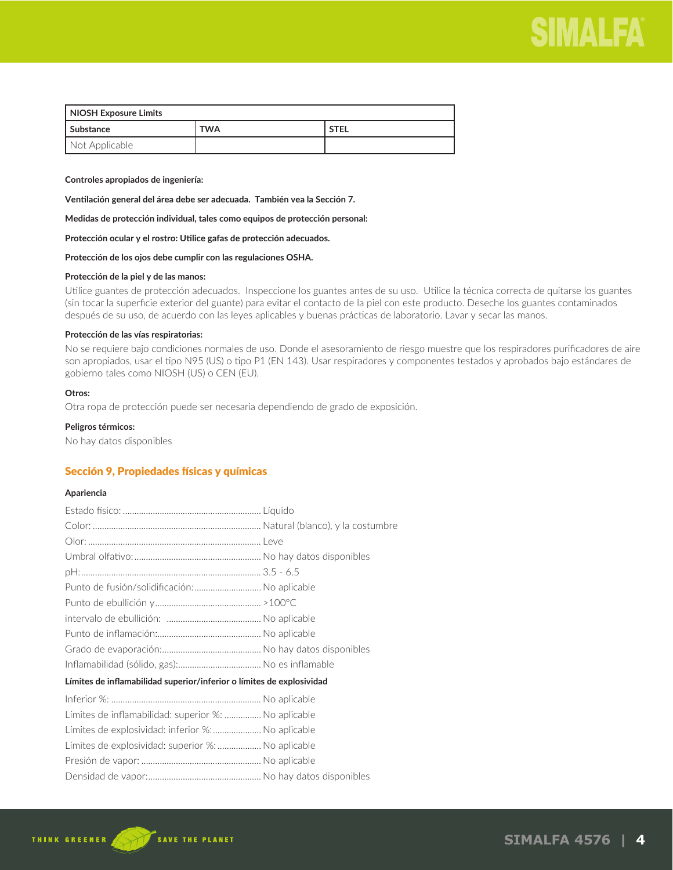

| NIOSH Exposure Limits |            |             |  |
|-----------------------|------------|-------------|--|
| l Substance           | <b>TWA</b> | <b>STEL</b> |  |
| Not Applicable        |            |             |  |

**Controles apropiados de ingeniería:** 

**Ventilación general del área debe ser adecuada. También vea la Sección 7.**

**Medidas de protección individual, tales como equipos de protección personal:**

**Protección ocular y el rostro: Utilice gafas de protección adecuados.**

**Protección de los ojos debe cumplir con las regulaciones OSHA.**

# **Protección de la piel y de las manos:**

Utilice guantes de protección adecuados. Inspeccione los guantes antes de su uso. Utilice la técnica correcta de quitarse los guantes (sin tocar la superficie exterior del guante) para evitar el contacto de la piel con este producto. Deseche los guantes contaminados después de su uso, de acuerdo con las leyes aplicables y buenas prácticas de laboratorio. Lavar y secar las manos.

## **Protección de las vías respiratorias:**

No se requiere bajo condiciones normales de uso. Donde el asesoramiento de riesgo muestre que los respiradores purificadores de aire son apropiados, usar el tipo N95 (US) o tipo P1 (EN 143). Usar respiradores y componentes testados y aprobados bajo estándares de gobierno tales como NIOSH (US) o CEN (EU).

### **Otros:**

Otra ropa de protección puede ser necesaria dependiendo de grado de exposición.

#### **Peligros térmicos:**

No hay datos disponibles

# Sección 9, Propiedades físicas y químicas

#### **Apariencia**

| Punto de fusión/solidificación: No aplicable                          |  |
|-----------------------------------------------------------------------|--|
|                                                                       |  |
|                                                                       |  |
|                                                                       |  |
|                                                                       |  |
|                                                                       |  |
| Límites de inflamabilidad superior/inferior o límites de explosividad |  |
|                                                                       |  |
| Límites de inflamabilidad: superior %:  No aplicable                  |  |
| Límites de explosividad: inferior %: No aplicable                     |  |
| Límites de explosividad: superior %:  No aplicable                    |  |
|                                                                       |  |
|                                                                       |  |

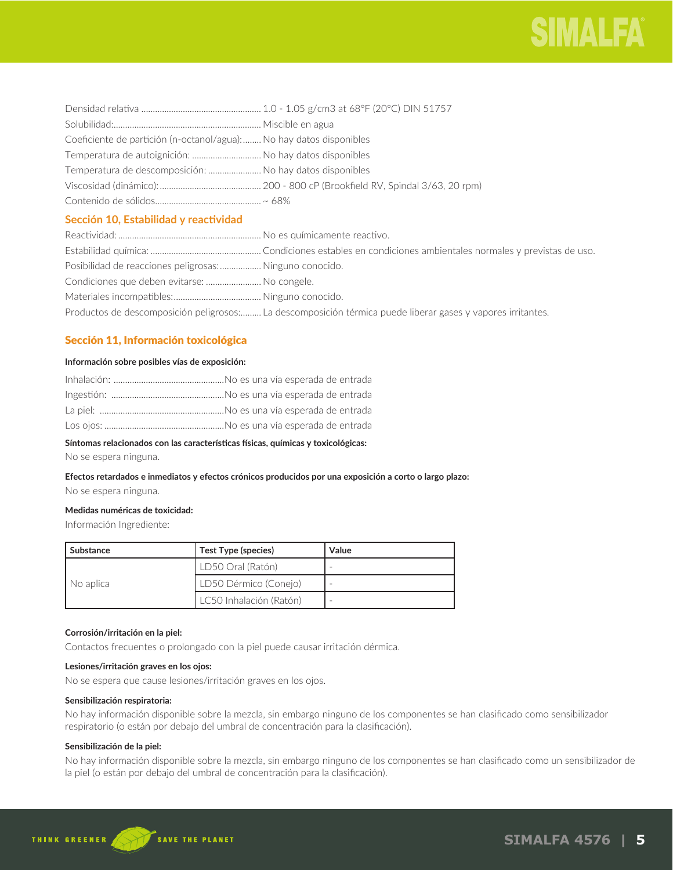

| Coeficiente de partición (n-octanol/agua): No hay datos disponibles |  |
|---------------------------------------------------------------------|--|
| Temperatura de autoignición:  No hay datos disponibles              |  |
| Temperatura de descomposición:  No hay datos disponibles            |  |
|                                                                     |  |
|                                                                     |  |
|                                                                     |  |

# **Sección 10, Estabilidad y reactividad**

| Posibilidad de reacciones peligrosas:  Ninguno conocido. |                                                                                                             |
|----------------------------------------------------------|-------------------------------------------------------------------------------------------------------------|
| Condiciones que deben evitarse:  No congele.             |                                                                                                             |
|                                                          |                                                                                                             |
|                                                          | Productos de descomposición peligrosos: La descomposición térmica puede liberar gases y vapores irritantes. |

# Sección 11, Información toxicológica

# **Información sobre posibles vías de exposición:**

# **Síntomas relacionados con las características físicas, químicas y toxicológicas:**

No se espera ninguna.

**Efectos retardados e inmediatos y efectos crónicos producidos por una exposición a corto o largo plazo:**  No se espera ninguna.

# **Medidas numéricas de toxicidad:**

Información Ingrediente:

| Substance | Test Type (species)     | Value |
|-----------|-------------------------|-------|
| No aplica | LD50 Oral (Ratón)       |       |
|           | LD50 Dérmico (Conejo)   |       |
|           | LC50 Inhalación (Ratón) |       |

# **Corrosión/irritación en la piel:**

Contactos frecuentes o prolongado con la piel puede causar irritación dérmica.

# **Lesiones/irritación graves en los ojos:**

No se espera que cause lesiones/irritación graves en los ojos.

# **Sensibilización respiratoria:**

No hay información disponible sobre la mezcla, sin embargo ninguno de los componentes se han clasificado como sensibilizador respiratorio (o están por debajo del umbral de concentración para la clasificación).

# **Sensibilización de la piel:**

No hay información disponible sobre la mezcla, sin embargo ninguno de los componentes se han clasificado como un sensibilizador de la piel (o están por debajo del umbral de concentración para la clasificación).

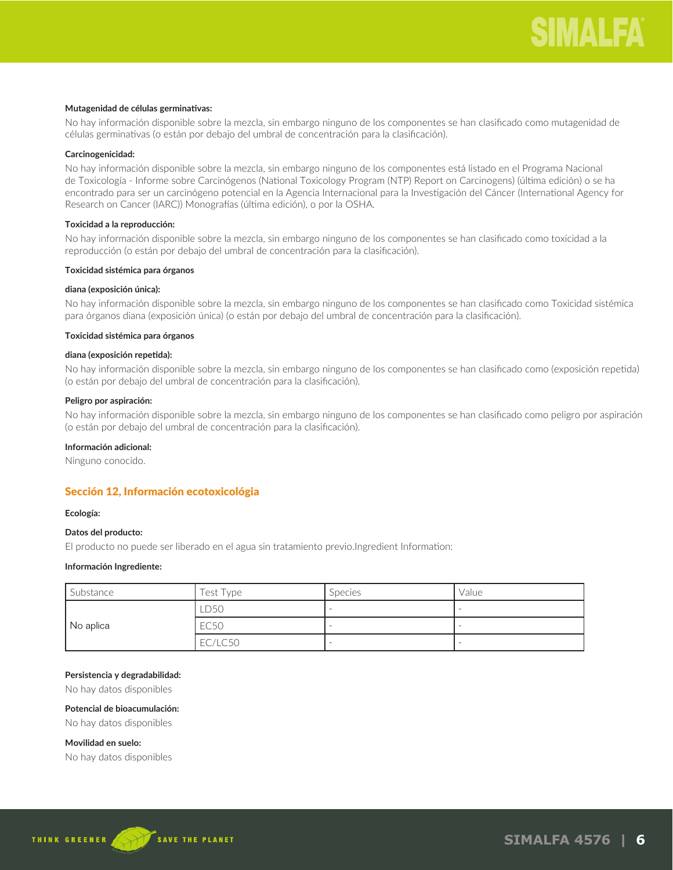# **Mutagenidad de células germinativas:**

No hay información disponible sobre la mezcla, sin embargo ninguno de los componentes se han clasificado como mutagenidad de células germinativas (o están por debajo del umbral de concentración para la clasificación).

# **Carcinogenicidad:**

No hay información disponible sobre la mezcla, sin embargo ninguno de los componentes está listado en el Programa Nacional de Toxicología - Informe sobre Carcinógenos (National Toxicology Program (NTP) Report on Carcinogens) (última edición) o se ha encontrado para ser un carcinógeno potencial en la Agencia Internacional para la Investigación del Cáncer (International Agency for Research on Cancer (IARC)) Monografías (última edición), o por la OSHA.

# **Toxicidad a la reproducción:**

No hay información disponible sobre la mezcla, sin embargo ninguno de los componentes se han clasificado como toxicidad a la reproducción (o están por debajo del umbral de concentración para la clasificación).

# **Toxicidad sistémica para órganos**

#### **diana (exposición única):**

No hay información disponible sobre la mezcla, sin embargo ninguno de los componentes se han clasificado como Toxicidad sistémica para órganos diana (exposición única) (o están por debajo del umbral de concentración para la clasificación).

#### **Toxicidad sistémica para órganos**

#### **diana (exposición repetida):**

No hay información disponible sobre la mezcla, sin embargo ninguno de los componentes se han clasificado como (exposición repetida) (o están por debajo del umbral de concentración para la clasificación).

#### **Peligro por aspiración:**

No hay información disponible sobre la mezcla, sin embargo ninguno de los componentes se han clasificado como peligro por aspiración (o están por debajo del umbral de concentración para la clasificación).

### **Información adicional:**

Ninguno conocido.

# Sección 12, Información ecotoxicológia

# **Ecología:**

# **Datos del producto:**

El producto no puede ser liberado en el agua sin tratamiento previo.Ingredient Information:

# **Información Ingrediente:**

| Substance | Test Type | <b>Species</b> | Value |
|-----------|-----------|----------------|-------|
| No aplica | LD50      |                |       |
|           | EC50      |                |       |
|           | EC/LC50   |                |       |

#### **Persistencia y degradabilidad:**

No hay datos disponibles

# **Potencial de bioacumulación:**

No hay datos disponibles

# **Movilidad en suelo:**

No hay datos disponibles

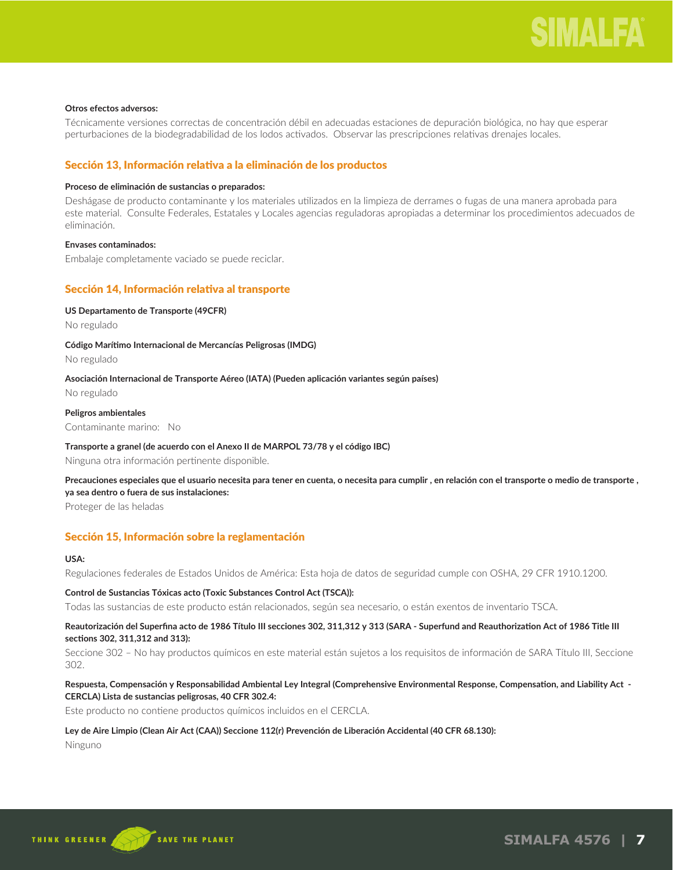### **Otros efectos adversos:**

Técnicamente versiones correctas de concentración débil en adecuadas estaciones de depuración biológica, no hay que esperar perturbaciones de la biodegradabilidad de los lodos activados. Observar las prescripciones relativas drenajes locales.

# Sección 13, Información relativa a la eliminación de los productos

#### **Proceso de eliminación de sustancias o preparados:**

Deshágase de producto contaminante y los materiales utilizados en la limpieza de derrames o fugas de una manera aprobada para este material. Consulte Federales, Estatales y Locales agencias reguladoras apropiadas a determinar los procedimientos adecuados de eliminación.

# **Envases contaminados:**

Embalaje completamente vaciado se puede reciclar.

# Sección 14, Información relativa al transporte

#### **US Departamento de Transporte (49CFR)**

No regulado

#### **Código Marítimo Internacional de Mercancías Peligrosas (IMDG)**

No regulado

# **Asociación Internacional de Transporte Aéreo (IATA) (Pueden aplicación variantes según países)**

No regulado

# **Peligros ambientales**

Contaminante marino: No

# **Transporte a granel (de acuerdo con el Anexo II de MARPOL 73/78 y el código IBC)**

Ninguna otra información pertinente disponible.

**Precauciones especiales que el usuario necesita para tener en cuenta, o necesita para cumplir , en relación con el transporte o medio de transporte , ya sea dentro o fuera de sus instalaciones:** 

Proteger de las heladas

# Sección 15, Información sobre la reglamentación

# **USA:**

Regulaciones federales de Estados Unidos de América: Esta hoja de datos de seguridad cumple con OSHA, 29 CFR 1910.1200.

# **Control de Sustancias Tóxicas acto (Toxic Substances Control Act (TSCA)):**

Todas las sustancias de este producto están relacionados, según sea necesario, o están exentos de inventario TSCA.

# **Reautorización del Superfina acto de 1986 Título III secciones 302, 311,312 y 313 (SARA - Superfund and Reauthorization Act of 1986 Title III sections 302, 311,312 and 313):**

Seccione 302 – No hay productos químicos en este material están sujetos a los requisitos de información de SARA Título III, Seccione 302.

# **Respuesta, Compensación y Responsabilidad Ambiental Ley Integral (Comprehensive Environmental Response, Compensation, and Liability Act - CERCLA) Lista de sustancias peligrosas, 40 CFR 302.4:**

Este producto no contiene productos químicos incluidos en el CERCLA.

# **Ley de Aire Limpio (Clean Air Act (CAA)) Seccione 112(r) Prevención de Liberación Accidental (40 CFR 68.130):**

Ninguno